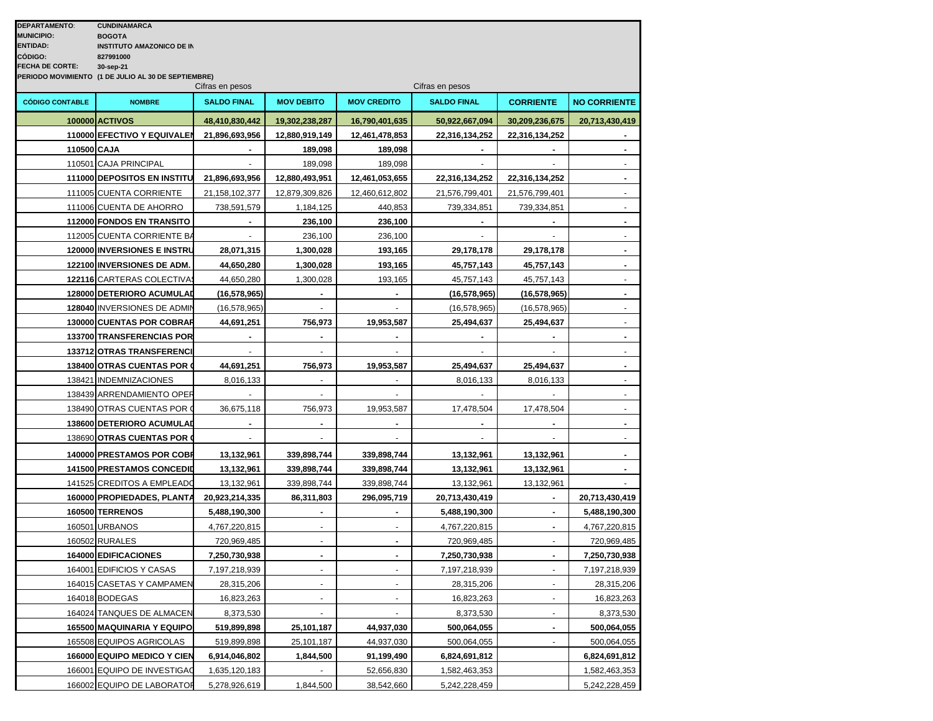| <b>DEPARTAMENTO:</b>              | <b>CUNDINAMARCA</b>                                 |                    |                   |                    |                    |                  |                          |  |  |
|-----------------------------------|-----------------------------------------------------|--------------------|-------------------|--------------------|--------------------|------------------|--------------------------|--|--|
| <b>MUNICIPIO:</b>                 | <b>BOGOTA</b>                                       |                    |                   |                    |                    |                  |                          |  |  |
| <b>ENTIDAD:</b>                   | <b>INSTITUTO AMAZONICO DE IN</b>                    |                    |                   |                    |                    |                  |                          |  |  |
| CÓDIGO:<br><b>FECHA DE CORTE:</b> | 827991000<br>30-sep-21                              |                    |                   |                    |                    |                  |                          |  |  |
|                                   | PERIODO MOVIMIENTO (1 DE JULIO AL 30 DE SEPTIEMBRE) |                    |                   |                    |                    |                  |                          |  |  |
|                                   | Cifras en pesos<br>Cifras en pesos                  |                    |                   |                    |                    |                  |                          |  |  |
| <b>CÓDIGO CONTABLE</b>            | <b>NOMBRE</b>                                       | <b>SALDO FINAL</b> | <b>MOV DEBITO</b> | <b>MOV CREDITO</b> | <b>SALDO FINAL</b> | <b>CORRIENTE</b> | <b>NO CORRIENTE</b>      |  |  |
|                                   | <b>100000 ACTIVOS</b>                               | 48,410,830,442     | 19,302,238,287    | 16,790,401,635     | 50,922,667,094     | 30,209,236,675   | 20,713,430,419           |  |  |
|                                   | 110000 EFECTIVO Y EQUIVALEN                         | 21,896,693,956     | 12,880,919,149    | 12,461,478,853     | 22,316,134,252     | 22,316,134,252   |                          |  |  |
| 110500 CAJA                       |                                                     |                    | 189,098           | 189,098            | $\blacksquare$     |                  | $\blacksquare$           |  |  |
|                                   | 110501 CAJA PRINCIPAL                               |                    | 189,098           | 189,098            |                    |                  | $\blacksquare$           |  |  |
|                                   | 111000 DEPOSITOS EN INSTITU                         | 21,896,693,956     | 12,880,493,951    | 12,461,053,655     | 22,316,134,252     | 22,316,134,252   | $\blacksquare$           |  |  |
|                                   | 111005 CUENTA CORRIENTE                             | 21,158,102,377     | 12,879,309,826    | 12,460,612,802     | 21,576,799,401     | 21,576,799,401   | $\blacksquare$           |  |  |
|                                   | 111006 CUENTA DE AHORRO                             | 738,591,579        | 1,184,125         | 440,853            | 739,334,851        | 739,334,851      | $\sim$                   |  |  |
|                                   | 112000 FONDOS EN TRANSITO                           |                    | 236,100           | 236,100            |                    |                  | $\blacksquare$           |  |  |
|                                   | 112005 CUENTA CORRIENTE BA                          |                    | 236,100           | 236,100            |                    |                  |                          |  |  |
|                                   | 120000 INVERSIONES E INSTRU                         | 28,071,315         | 1,300,028         | 193,165            | 29,178,178         | 29,178,178       | $\blacksquare$           |  |  |
|                                   | 122100 INVERSIONES DE ADM.                          | 44,650,280         | 1,300,028         | 193,165            | 45,757,143         | 45,757,143       |                          |  |  |
|                                   | 122116 CARTERAS COLECTIVA                           | 44,650,280         | 1,300,028         | 193,165            | 45,757,143         | 45,757,143       |                          |  |  |
|                                   | 128000 DETERIORO ACUMULAD                           | (16, 578, 965)     |                   |                    | (16, 578, 965)     | (16, 578, 965)   |                          |  |  |
|                                   | 128040 INVERSIONES DE ADMIN                         | (16, 578, 965)     |                   |                    | (16, 578, 965)     | (16, 578, 965)   |                          |  |  |
|                                   | 130000 CUENTAS POR COBRAR                           | 44,691,251         | 756,973           | 19,953,587         | 25,494,637         | 25,494,637       |                          |  |  |
|                                   | 133700 TRANSFERENCIAS POR                           |                    |                   |                    |                    |                  | $\blacksquare$           |  |  |
|                                   | 133712 OTRAS TRANSFERENCI                           |                    |                   |                    |                    |                  | $\overline{\phantom{a}}$ |  |  |
|                                   | 138400 OTRAS CUENTAS POR                            | 44,691,251         | 756,973           | 19,953,587         | 25,494,637         | 25,494,637       | $\blacksquare$           |  |  |
|                                   | 138421 INDEMNIZACIONES                              | 8,016,133          |                   |                    | 8,016,133          | 8,016,133        | $\blacksquare$           |  |  |
|                                   | 138439 ARRENDAMIENTO OPER                           |                    |                   |                    |                    |                  |                          |  |  |
|                                   | 138490 OTRAS CUENTAS POR O                          | 36,675,118         | 756,973           | 19,953,587         | 17,478,504         | 17,478,504       |                          |  |  |
|                                   | 138600 DETERIORO ACUMULAD                           |                    |                   |                    |                    |                  | $\blacksquare$           |  |  |
|                                   | 138690 OTRAS CUENTAS POR                            |                    |                   |                    |                    |                  |                          |  |  |
|                                   | 140000 PRESTAMOS POR COBR                           | 13,132,961         | 339,898,744       | 339,898,744        | 13,132,961         | 13,132,961       | $\blacksquare$           |  |  |
|                                   | 141500 PRESTAMOS CONCEDID                           | 13,132,961         | 339,898,744       | 339,898,744        | 13,132,961         | 13,132,961       |                          |  |  |
|                                   | 141525 CREDITOS A EMPLEADO                          | 13,132,961         | 339,898,744       | 339,898,744        | 13,132,961         | 13,132,961       |                          |  |  |
|                                   | 160000 PROPIEDADES, PLANTA                          | 20,923,214,335     | 86,311,803        | 296,095,719        | 20,713,430,419     | $\blacksquare$   | 20,713,430,419           |  |  |
|                                   | <b>160500 TERRENOS</b>                              | 5,488,190,300      |                   |                    | 5,488,190,300      |                  | 5,488,190,300            |  |  |
|                                   | 160501 URBANOS                                      | 4,767,220,815      |                   |                    | 4,767,220,815      |                  | 4,767,220,815            |  |  |
|                                   | 160502 RURALES                                      | 720,969,485        |                   |                    | 720,969,485        |                  | 720,969,485              |  |  |
|                                   | 164000 EDIFICACIONES                                | 7,250,730,938      |                   |                    | 7,250,730,938      |                  | 7,250,730,938            |  |  |
|                                   | 164001 EDIFICIOS Y CASAS                            | 7,197,218,939      |                   |                    | 7,197,218,939      |                  | 7,197,218,939            |  |  |
|                                   | 164015 CASETAS Y CAMPAMEN                           | 28,315,206         |                   |                    | 28,315,206         |                  | 28,315,206               |  |  |
|                                   | 164018 BODEGAS                                      | 16,823,263         |                   |                    | 16,823,263         |                  | 16,823,263               |  |  |
|                                   | 164024 TANQUES DE ALMACEN                           | 8,373,530          |                   |                    | 8,373,530          |                  | 8,373,530                |  |  |
|                                   | 165500 MAQUINARIA Y EQUIPO                          | 519,899,898        | 25,101,187        | 44,937,030         | 500,064,055        |                  | 500,064,055              |  |  |
|                                   | 165508 EQUIPOS AGRICOLAS                            | 519,899,898        | 25,101,187        | 44,937,030         | 500,064,055        |                  | 500,064,055              |  |  |
|                                   | 166000 EQUIPO MEDICO Y CIEN                         | 6,914,046,802      | 1,844,500         | 91,199,490         | 6,824,691,812      |                  | 6,824,691,812            |  |  |
|                                   | 166001 EQUIPO DE INVESTIGAO                         | 1,635,120,183      |                   | 52,656,830         | 1,582,463,353      |                  | 1,582,463,353            |  |  |
|                                   | 166002 EQUIPO DE LABORATOR                          | 5,278,926,619      | 1,844,500         | 38,542,660         | 5,242,228,459      |                  | 5,242,228,459            |  |  |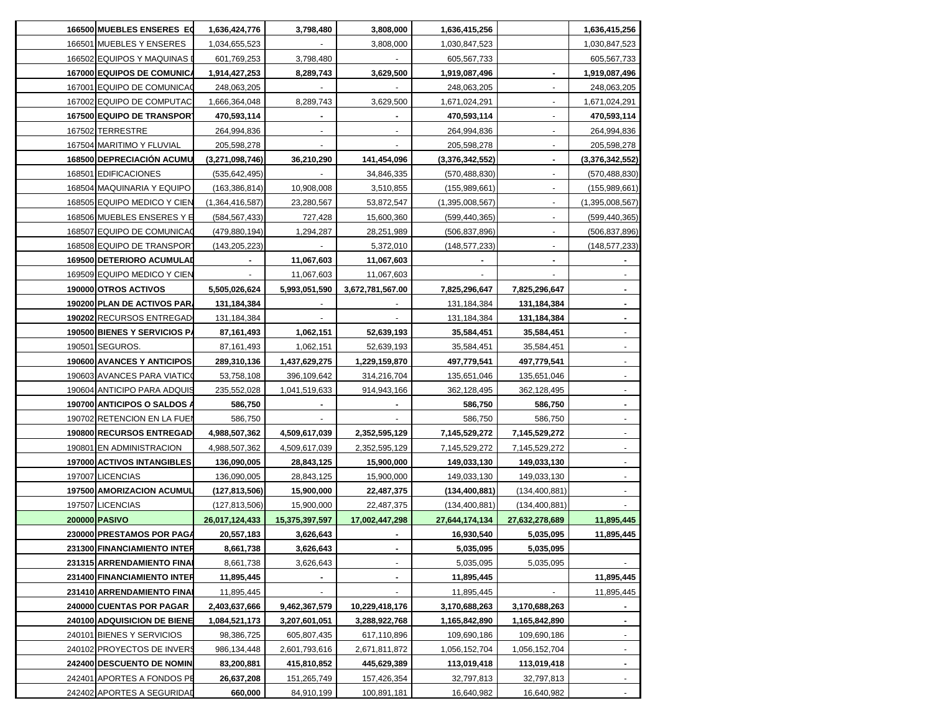| 166500 MUEBLES ENSERES EQ    | 1,636,424,776   | 3,798,480      | 3,808,000        | 1,636,415,256   |                 | 1,636,415,256   |
|------------------------------|-----------------|----------------|------------------|-----------------|-----------------|-----------------|
| 166501 MUEBLES Y ENSERES     | 1,034,655,523   |                | 3,808,000        | 1,030,847,523   |                 | 1,030,847,523   |
| 166502 EQUIPOS Y MAQUINAS    | 601,769,253     | 3,798,480      |                  | 605,567,733     |                 | 605,567,733     |
| 167000 EQUIPOS DE COMUNICA   | 1,914,427,253   | 8,289,743      | 3,629,500        | 1,919,087,496   |                 | 1,919,087,496   |
| 167001 EQUIPO DE COMUNICA    | 248,063,205     |                |                  | 248,063,205     |                 | 248,063,205     |
| 167002 EQUIPO DE COMPUTAC    | 1,666,364,048   | 8,289,743      | 3,629,500        | 1,671,024,291   |                 | 1,671,024,291   |
| 167500 EQUIPO DE TRANSPORT   | 470,593,114     |                |                  | 470,593,114     |                 | 470,593,114     |
| 167502 TERRESTRE             | 264,994,836     |                |                  | 264,994,836     |                 | 264,994,836     |
| 167504 MARITIMO Y FLUVIAL    | 205,598,278     |                |                  | 205,598,278     |                 | 205,598,278     |
| 168500 DEPRECIACIÓN ACUMU    | (3,271,098,746) | 36,210,290     | 141,454,096      | (3,376,342,552) |                 | (3,376,342,552) |
| 168501 EDIFICACIONES         | (535, 642, 495) |                | 34,846,335       | (570, 488, 830) |                 | (570,488,830)   |
| 168504 MAQUINARIA Y EQUIPO   | (163, 386, 814) | 10,908,008     | 3,510,855        | (155,989,661)   |                 | (155,989,661)   |
| 168505 EQUIPO MEDICO Y CIEN  | (1,364,416,587) | 23,280,567     | 53,872,547       | (1,395,008,567) |                 | (1,395,008,567) |
| 168506 MUEBLES ENSERES Y E   | (584, 567, 433) | 727,428        | 15,600,360       | (599, 440, 365) |                 | (599, 440, 365) |
| 168507 EQUIPO DE COMUNICAÇ   | (479, 880, 194) | 1,294,287      | 28,251,989       | (506, 837, 896) |                 | (506, 837, 896) |
| 168508 EQUIPO DE TRANSPORT   | (143, 205, 223) |                | 5,372,010        | (148,577,233)   |                 | (148, 577, 233) |
| 169500 DETERIORO ACUMULAD    |                 | 11,067,603     | 11,067,603       |                 |                 |                 |
| 169509 EQUIPO MEDICO Y CIEN  |                 | 11,067,603     | 11,067,603       |                 |                 |                 |
| 190000 OTROS ACTIVOS         | 5,505,026,624   | 5,993,051,590  | 3,672,781,567.00 | 7,825,296,647   | 7,825,296,647   |                 |
| 190200 PLAN DE ACTIVOS PAR.  | 131,184,384     |                |                  | 131,184,384     | 131,184,384     |                 |
| 190202 RECURSOS ENTREGAD     | 131,184,384     |                |                  | 131,184,384     | 131,184,384     |                 |
| 190500 BIENES Y SERVICIOS P/ | 87,161,493      | 1,062,151      | 52,639,193       | 35,584,451      | 35,584,451      |                 |
| 190501 SEGUROS.              | 87,161,493      | 1,062,151      | 52,639,193       | 35,584,451      | 35,584,451      |                 |
| 190600 AVANCES Y ANTICIPOS   | 289,310,136     | 1,437,629,275  | 1,229,159,870    | 497,779,541     | 497,779,541     |                 |
| 190603 AVANCES PARA VIATICO  | 53,758,108      | 396,109,642    | 314,216,704      | 135,651,046     | 135,651,046     |                 |
| 190604 ANTICIPO PARA ADQUIS  | 235,552,028     | 1,041,519,633  | 914,943,166      | 362,128,495     | 362,128,495     |                 |
| 190700 ANTICIPOS O SALDOS /  | 586,750         |                |                  | 586,750         | 586,750         |                 |
| 190702 RETENCION EN LA FUEI  | 586,750         |                |                  | 586,750         | 586,750         |                 |
| 190800 RECURSOS ENTREGAD     | 4,988,507,362   | 4,509,617,039  | 2,352,595,129    | 7,145,529,272   | 7,145,529,272   |                 |
| 190801 EN ADMINISTRACION     | 4,988,507,362   | 4,509,617,039  | 2,352,595,129    | 7,145,529,272   | 7,145,529,272   |                 |
| 197000 ACTIVOS INTANGIBLES   | 136,090,005     | 28,843,125     | 15,900,000       | 149,033,130     | 149,033,130     |                 |
| 197007 LICENCIAS             | 136,090,005     | 28,843,125     | 15,900,000       | 149,033,130     | 149,033,130     |                 |
| 197500 AMORIZACION ACUMUL    | (127, 813, 506) | 15,900,000     | 22,487,375       | (134, 400, 881) | (134, 400, 881) |                 |
| 197507 LICENCIAS             | (127, 813, 506) | 15,900,000     | 22,487,375       | (134, 400, 881) | (134, 400, 881) |                 |
| 200000 PASIVO                | 26,017,124,433  | 15,375,397,597 | 17,002,447,298   | 27,644,174,134  | 27,632,278,689  | 11,895,445      |
| 230000 PRESTAMOS POR PAGA    | 20,557,183      | 3,626,643      |                  | 16,930,540      | 5,035,095       | 11,895,445      |
| 231300 FINANCIAMIENTO INTER  | 8,661,738       | 3,626,643      |                  | 5,035,095       | 5,035,095       |                 |
| 231315 ARRENDAMIENTO FINAI   | 8,661,738       | 3,626,643      |                  | 5,035,095       | 5,035,095       |                 |
| 231400 FINANCIAMIENTO INTER  | 11,895,445      |                |                  | 11,895,445      |                 | 11,895,445      |
| 231410 ARRENDAMIENTO FINAI   | 11,895,445      |                |                  | 11,895,445      |                 | 11,895,445      |
| 240000 CUENTAS POR PAGAR     | 2,403,637,666   | 9,462,367,579  | 10,229,418,176   | 3,170,688,263   | 3,170,688,263   |                 |
| 240100 ADQUISICION DE BIENE  | 1,084,521,173   | 3,207,601,051  | 3,288,922,768    | 1,165,842,890   | 1,165,842,890   | ۰.              |
| 240101 BIENES Y SERVICIOS    | 98,386,725      | 605,807,435    | 617,110,896      | 109,690,186     | 109,690,186     | ٠               |
| 240102 PROYECTOS DE INVERS   | 986,134,448     | 2,601,793,616  | 2,671,811,872    | 1,056,152,704   | 1,056,152,704   | $\sim$          |
| 242400 DESCUENTO DE NOMIN    | 83,200,881      | 415,810,852    | 445,629,389      | 113,019,418     | 113,019,418     | $\sim$          |
| 242401 APORTES A FONDOS PE   | 26,637,208      | 151,265,749    | 157,426,354      | 32,797,813      | 32,797,813      | $\sim$          |
| 242402 APORTES A SEGURIDAD   | 660,000         | 84,910,199     | 100,891,181      | 16,640,982      | 16,640,982      | $\sim$          |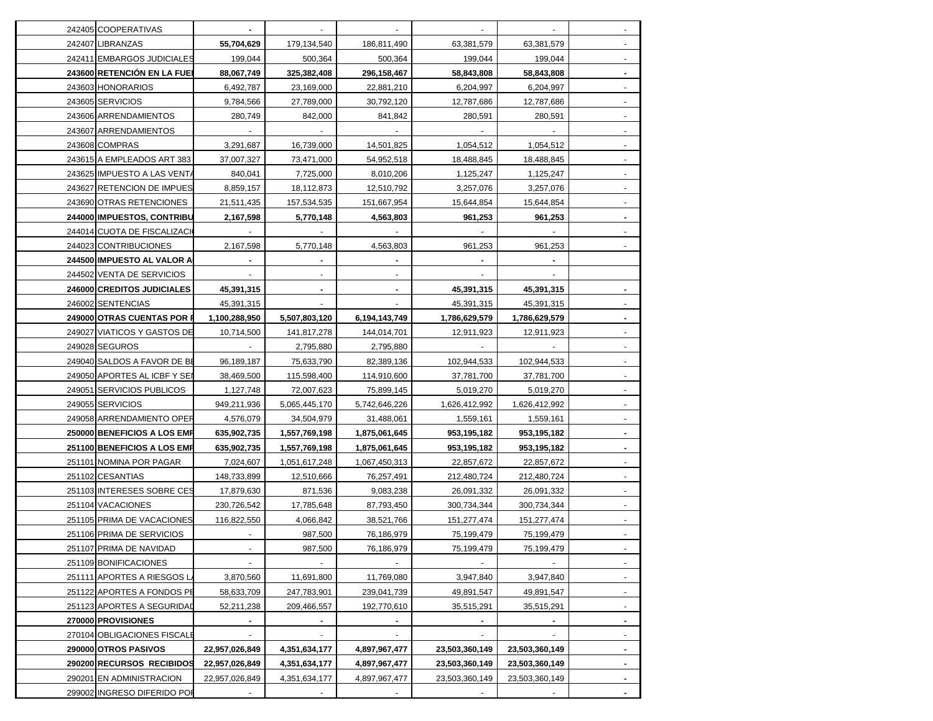| 242405 COOPERATIVAS          |                |               |                |                |                |        |
|------------------------------|----------------|---------------|----------------|----------------|----------------|--------|
| 242407 LIBRANZAS             | 55,704,629     | 179,134,540   | 186,811,490    | 63,381,579     | 63,381,579     |        |
| 242411 EMBARGOS JUDICIALES   | 199,044        | 500,364       | 500,364        | 199,044        | 199,044        |        |
| 243600 RETENCION EN LA FUE   | 88,067,749     | 325,382,408   | 296,158,467    | 58,843,808     | 58,843,808     |        |
| 243603 HONORARIOS            | 6,492,787      | 23,169,000    | 22,881,210     | 6,204,997      | 6,204,997      |        |
| 243605 SERVICIOS             | 9,784,566      | 27,789,000    | 30,792,120     | 12,787,686     | 12,787,686     |        |
| 243606 ARRENDAMIENTOS        | 280,749        | 842,000       | 841,842        | 280,591        | 280,591        |        |
| 243607 ARRENDAMIENTOS        |                |               |                |                |                |        |
| 243608 COMPRAS               | 3,291,687      | 16,739,000    | 14.501.825     | 1,054,512      | 1,054,512      |        |
| 243615 A EMPLEADOS ART 383   | 37,007,327     | 73,471,000    | 54,952,518     | 18,488,845     | 18,488,845     |        |
| 243625 IMPUESTO A LAS VENTA  | 840,041        | 7,725,000     | 8,010,206      | 1,125,247      | 1,125,247      |        |
| 243627 RETENCION DE IMPUES   | 8,859,157      | 18,112,873    | 12,510,792     | 3,257,076      | 3,257,076      |        |
| 243690 OTRAS RETENCIONES     | 21,511,435     | 157,534,535   | 151,667,954    | 15,644,854     | 15,644,854     |        |
| 244000 IMPUESTOS, CONTRIBU   | 2,167,598      | 5,770,148     | 4,563,803      | 961,253        | 961,253        |        |
| 244014 CUOTA DE FISCALIZACI  |                |               |                |                |                |        |
| 244023 CONTRIBUCIONES        | 2,167,598      | 5,770,148     | 4,563,803      | 961,253        | 961,253        |        |
| 244500 IMPUESTO AL VALOR A   |                |               |                |                |                |        |
| 244502 VENTA DE SERVICIOS    |                |               |                |                |                |        |
| 246000 CREDITOS JUDICIALES   | 45,391,315     |               |                | 45,391,315     | 45,391,315     |        |
| 246002 SENTENCIAS            | 45,391,315     |               |                | 45,391,315     | 45,391,315     |        |
| 249000 OTRAS CUENTAS POR F   | 1,100,288,950  | 5,507,803,120 | 6,194,143,749  | 1,786,629,579  | 1,786,629,579  |        |
| 249027 VIATICOS Y GASTOS DE  | 10,714,500     | 141,817,278   | 144,014,701    | 12,911,923     | 12,911,923     |        |
| 249028 SEGUROS               |                | 2,795,880     | 2,795,880      |                |                |        |
| 249040 SALDOS A FAVOR DE BE  | 96,189,187     | 75,633,790    | 82,389,136     | 102,944,533    | 102,944,533    |        |
| 249050 APORTES AL ICBF Y SEI | 38,469,500     | 115,598,400   | 114,910,600    | 37,781,700     | 37,781,700     |        |
| 249051 SERVICIOS PUBLICOS    | 1,127,748      | 72,007,623    | 75,899,145     | 5,019,270      | 5,019,270      |        |
| 249055 SERVICIOS             | 949,211,936    | 5,065,445,170 | 5,742,646,226  | 1,626,412,992  | 1,626,412,992  |        |
| 249058 ARRENDAMIENTO OPER    | 4,576,079      | 34,504,979    | 31,488,061     | 1,559,161      | 1,559,161      |        |
| 250000 BENEFICIOS A LOS EMP  | 635,902,735    | 1,557,769,198 | 1,875,061,645  | 953,195,182    | 953,195,182    |        |
| 251100 BENEFICIOS A LOS EMP  | 635,902,735    | 1,557,769,198 | 1,875,061,645  | 953,195,182    | 953,195,182    |        |
| 251101 NOMINA POR PAGAR      | 7,024,607      | 1,051,617,248 | 1,067,450,313  | 22,857,672     | 22,857,672     |        |
| 251102 CESANTIAS             | 148,733,899    | 12,510,666    | 76,257,491     | 212,480,724    | 212,480,724    |        |
| 251103 INTERESES SOBRE CES   | 17,879,630     | 871,536       | 9,083,238      | 26,091,332     | 26,091,332     |        |
| 251104 VACACIONES            | 230,726,542    | 17,785,648    | 87,793,450     | 300,734,344    | 300,734,344    |        |
| 251105 PRIMA DE VACACIONES   | 116,822,550    | 4,066,842     | 38,521,766     | 151,277,474    | 151,277,474    |        |
| 251106 PRIMA DE SERVICIOS    |                | 987,500       | 76,186,979     | 75,199,479     | 75,199,479     |        |
| 251107 PRIMA DE NAVIDAD      |                | 987,500       | 76,186,979     | 75,199,479     | 75,199,479     |        |
| 251109 BONIFICACIONES        |                |               |                |                |                |        |
| 251111 APORTES A RIESGOS LA  | 3,870,560      | 11,691,800    | 11,769,080     | 3,947,840      | 3,947,840      | ۰.     |
| 251122 APORTES A FONDOS PE   | 58,633,709     | 247,783,901   | 239,041,739    | 49,891,547     | 49,891,547     | ٠      |
| 251123 APORTES A SEGURIDAD   | 52,211,238     | 209,466,557   | 192,770,610    | 35,515,291     | 35,515,291     | ۰.     |
| 270000 PROVISIONES           | ٠              | ۰.            | $\blacksquare$ | ۰.             | $\sim$         | ۰.     |
| 270104 OBLIGACIONES FISCALE  | ۰.             |               |                | $\sim$         | $\sim$         | $\sim$ |
| 290000 OTROS PASIVOS         | 22,957,026,849 | 4,351,634,177 | 4,897,967,477  | 23,503,360,149 | 23,503,360,149 | $\sim$ |
| 290200 RECURSOS RECIBIDOS    | 22,957,026,849 | 4,351,634,177 | 4,897,967,477  | 23,503,360,149 | 23,503,360,149 | $\sim$ |
| 290201 EN ADMINISTRACION     | 22,957,026,849 | 4,351,634,177 | 4,897,967,477  | 23,503,360,149 | 23,503,360,149 |        |
| 299002 INGRESO DIFERIDO POR  |                |               |                |                |                |        |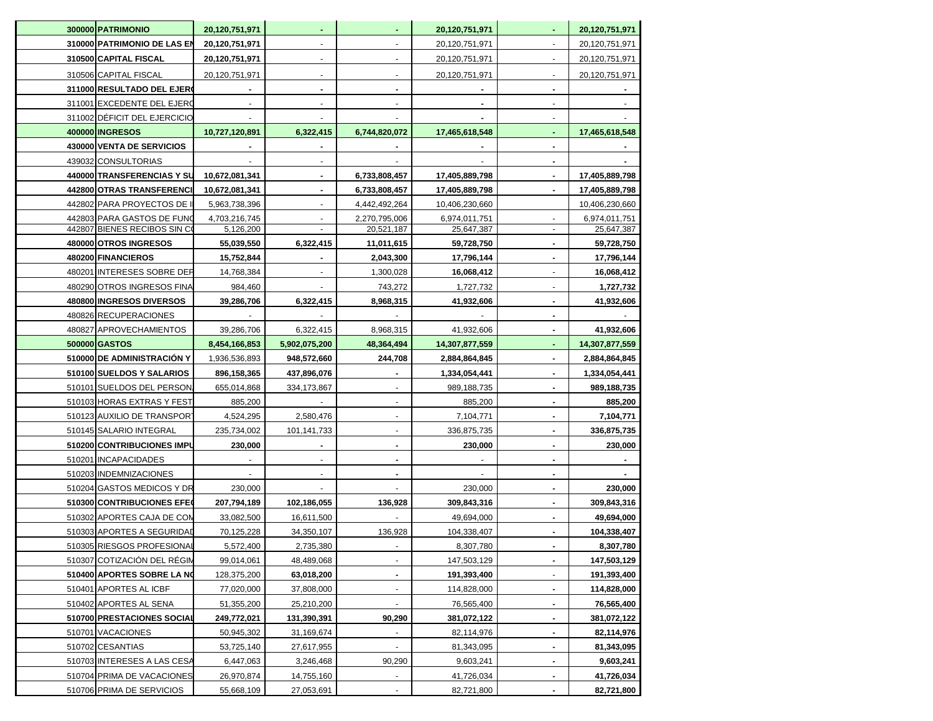| 300000 PATRIMONIO            | 20,120,751,971 |               | $\blacksquare$ | 20,120,751,971 |                | 20,120,751,971 |
|------------------------------|----------------|---------------|----------------|----------------|----------------|----------------|
| 310000 PATRIMONIO DE LAS EN  | 20,120,751,971 |               |                | 20,120,751,971 |                | 20,120,751,971 |
| 310500 CAPITAL FISCAL        | 20,120,751,971 |               |                | 20,120,751,971 |                | 20,120,751,971 |
| 310506 CAPITAL FISCAL        | 20,120,751,971 |               |                | 20,120,751,971 |                | 20,120,751,971 |
| 311000 RESULTADO DEL EJERO   |                |               |                |                |                |                |
| 311001 EXCEDENTE DEL EJERO   |                |               |                |                |                |                |
| 311002 DÉFICIT DEL EJERCICIO |                |               |                |                |                |                |
| 400000 INGRESOS              | 10,727,120,891 | 6,322,415     | 6,744,820,072  | 17,465,618,548 |                | 17,465,618,548 |
| 430000 VENTA DE SERVICIOS    |                |               |                |                |                |                |
| 439032 CONSULTORIAS          |                |               |                |                |                |                |
| 440000 TRANSFERENCIAS Y SU   | 10,672,081,341 |               | 6,733,808,457  | 17,405,889,798 |                | 17,405,889,798 |
| 442800 OTRAS TRANSFERENCI    | 10,672,081,341 |               | 6,733,808,457  | 17,405,889,798 |                | 17,405,889,798 |
| 442802 PARA PROYECTOS DE I   | 5,963,738,396  |               | 4,442,492,264  | 10,406,230,660 |                | 10,406,230,660 |
| 442803 PARA GASTOS DE FUNO   | 4,703,216,745  |               | 2,270,795,006  | 6,974,011,751  |                | 6,974,011,751  |
| 442807 BIENES RECIBOS SIN CO | 5,126,200      |               | 20,521,187     | 25,647,387     |                | 25,647,387     |
| 480000 OTROS INGRESOS        | 55,039,550     | 6,322,415     | 11,011,615     | 59,728,750     |                | 59,728,750     |
| 480200 FINANCIEROS           | 15,752,844     |               | 2,043,300      | 17,796,144     |                | 17,796,144     |
| 480201 INTERESES SOBRE DEF   | 14,768,384     |               | 1,300,028      | 16,068,412     |                | 16,068,412     |
| 480290 OTROS INGRESOS FINA   | 984,460        |               | 743,272        | 1,727,732      |                | 1,727,732      |
| 480800 INGRESOS DIVERSOS     | 39,286,706     | 6,322,415     | 8,968,315      | 41,932,606     |                | 41,932,606     |
| 480826 RECUPERACIONES        |                |               |                |                |                |                |
| 480827 APROVECHAMIENTOS      | 39,286,706     | 6,322,415     | 8,968,315      | 41,932,606     |                | 41,932,606     |
| 500000 GASTOS                | 8,454,166,853  | 5,902,075,200 | 48,364,494     | 14,307,877,559 |                | 14,307,877,559 |
| 510000 DE ADMINISTRACIÓN Y   | 1,936,536,893  | 948,572,660   | 244,708        | 2,884,864,845  |                | 2,884,864,845  |
| 510100 SUELDOS Y SALARIOS    | 896,158,365    | 437,896,076   |                | 1,334,054,441  |                | 1,334,054,441  |
| 510101 SUELDOS DEL PERSON    | 655,014,868    | 334,173,867   |                | 989,188,735    |                | 989,188,735    |
| 510103 HORAS EXTRAS Y FEST   | 885,200        |               |                | 885,200        |                | 885,200        |
| 510123 AUXILIO DE TRANSPORT  | 4,524,295      | 2,580,476     |                | 7,104,771      |                | 7,104,771      |
| 510145 SALARIO INTEGRAL      | 235,734,002    | 101,141,733   |                | 336,875,735    |                | 336,875,735    |
| 510200 CONTRIBUCIONES IMPU   | 230,000        |               |                | 230,000        |                | 230,000        |
| 510201 INCAPACIDADES         |                |               |                |                |                |                |
| 510203 INDEMNIZACIONES       |                |               |                |                |                |                |
| 510204 GASTOS MEDICOS Y DR   | 230,000        |               |                | 230,000        | $\blacksquare$ | 230,000        |
| 510300 CONTRIBUCIONES EFEO   | 207,794,189    | 102,186,055   | 136,928        | 309,843,316    |                | 309,843,316    |
| 510302 APORTES CAJA DE CON   | 33,082,500     | 16,611,500    |                | 49,694,000     |                | 49,694,000     |
| 510303 APORTES A SEGURIDAD   | 70,125,228     | 34,350,107    | 136,928        | 104,338,407    |                | 104,338,407    |
| 510305 RIESGOS PROFESIONAL   | 5,572,400      | 2,735,380     |                | 8,307,780      |                | 8,307,780      |
| 510307 COTIZACIÓN DEL RÉGIN  | 99,014,061     | 48,489,068    |                | 147,503,129    |                | 147,503,129    |
| 510400 APORTES SOBRE LA NO   | 128,375,200    | 63,018,200    |                | 191,393,400    |                | 191,393,400    |
| 510401 APORTES AL ICBF       | 77,020,000     | 37,808,000    |                | 114,828,000    |                | 114,828,000    |
| 510402 APORTES AL SENA       | 51,355,200     | 25,210,200    |                | 76,565,400     |                | 76,565,400     |
| 510700 PRESTACIONES SOCIAL   | 249,772,021    | 131,390,391   | 90,290         | 381,072,122    |                | 381,072,122    |
| 510701 VACACIONES            | 50,945,302     | 31,169,674    |                | 82,114,976     |                | 82,114,976     |
| 510702 CESANTIAS             | 53,725,140     | 27,617,955    |                | 81,343,095     |                | 81,343,095     |
| 510703 INTERESES A LAS CESA  | 6,447,063      | 3,246,468     | 90,290         | 9,603,241      |                | 9,603,241      |
| 510704 PRIMA DE VACACIONES   | 26,970,874     | 14,755,160    |                | 41,726,034     |                | 41,726,034     |
| 510706 PRIMA DE SERVICIOS    | 55,668,109     | 27,053,691    |                | 82,721,800     |                | 82,721,800     |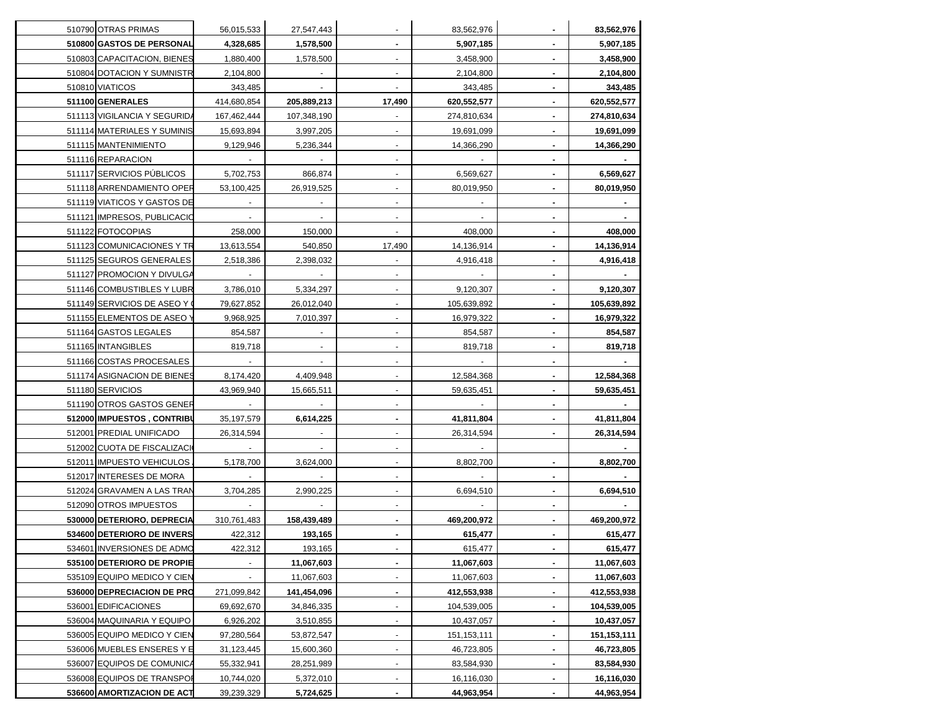| 510790 OTRAS PRIMAS          | 56,015,533  | 27,547,443  |                          | 83,562,976    |                | 83,562,976    |
|------------------------------|-------------|-------------|--------------------------|---------------|----------------|---------------|
| 510800 GASTOS DE PERSONAL    | 4,328,685   | 1,578,500   | $\blacksquare$           | 5,907,185     | $\blacksquare$ | 5,907,185     |
| 510803 CAPACITACION, BIENES  | 1,880,400   | 1,578,500   | $\mathbf{r}$             | 3,458,900     |                | 3,458,900     |
| 510804 DOTACION Y SUMNISTR   | 2,104,800   |             | $\mathbf{r}$             | 2,104,800     |                | 2,104,800     |
| 510810 VIATICOS              | 343,485     |             |                          | 343,485       |                | 343,485       |
| 511100 GENERALES             | 414,680,854 | 205,889,213 | 17,490                   | 620,552,577   |                | 620,552,577   |
| 511113 VIGILANCIA Y SEGURIDA | 167,462,444 | 107,348,190 |                          | 274,810,634   |                | 274,810,634   |
| 511114 MATERIALES Y SUMINIS  | 15,693,894  | 3,997,205   |                          | 19,691,099    |                | 19,691,099    |
| 511115 MANTENIMIENTO         | 9,129,946   | 5,236,344   |                          | 14,366,290    |                | 14,366,290    |
| 511116 REPARACION            |             |             |                          |               |                |               |
| 511117 SERVICIOS PÚBLICOS    | 5,702,753   | 866,874     |                          | 6,569,627     |                | 6,569,627     |
| 511118 ARRENDAMIENTO OPER    | 53,100,425  | 26,919,525  |                          | 80,019,950    |                | 80,019,950    |
| 511119 VIATICOS Y GASTOS DE  |             |             |                          |               |                |               |
| 511121 IMPRESOS, PUBLICACIO  |             |             |                          |               |                |               |
| 511122 FOTOCOPIAS            | 258,000     | 150,000     |                          | 408,000       |                | 408,000       |
| 511123 COMUNICACIONES Y TR   | 13,613,554  | 540,850     | 17,490                   | 14,136,914    |                | 14,136,914    |
| 511125 SEGUROS GENERALES     | 2,518,386   | 2,398,032   |                          | 4,916,418     |                | 4,916,418     |
| 511127 PROMOCION Y DIVULGA   |             |             |                          |               |                |               |
| 511146 COMBUSTIBLES Y LUBR   | 3,786,010   | 5,334,297   |                          | 9,120,307     |                | 9,120,307     |
| 511149 SERVICIOS DE ASEO Y 0 | 79,627,852  | 26,012,040  |                          | 105,639,892   |                | 105,639,892   |
| 511155 ELEMENTOS DE ASEO Y   | 9,968,925   | 7,010,397   |                          | 16,979,322    |                | 16,979,322    |
| 511164 GASTOS LEGALES        | 854,587     |             |                          | 854,587       | $\blacksquare$ | 854,587       |
| 511165 INTANGIBLES           | 819,718     |             | $\overline{\phantom{a}}$ | 819,718       | $\blacksquare$ | 819,718       |
| 511166 COSTAS PROCESALES     |             | $\sim$      | $\blacksquare$           |               | $\blacksquare$ |               |
| 511174 ASIGNACION DE BIENES  | 8,174,420   | 4,409,948   | $\blacksquare$           | 12,584,368    | $\blacksquare$ | 12,584,368    |
| 511180 SERVICIOS             | 43,969,940  | 15,665,511  | $\blacksquare$           | 59,635,451    | $\blacksquare$ | 59,635,451    |
| 511190 OTROS GASTOS GENER    |             |             | $\blacksquare$           |               | $\blacksquare$ |               |
| 512000 IMPUESTOS, CONTRIBU   | 35,197,579  | 6,614,225   |                          | 41,811,804    |                | 41,811,804    |
| 512001 PREDIAL UNIFICADO     | 26,314,594  |             |                          | 26,314,594    |                | 26,314,594    |
| 512002 CUOTA DE FISCALIZACIO |             |             |                          |               |                |               |
| 512011 IMPUESTO VEHICULOS    | 5,178,700   | 3,624,000   |                          | 8,802,700     |                | 8,802,700     |
| 512017 INTERESES DE MORA     |             |             | $\mathbf{r}$             |               |                |               |
| 512024 GRAVAMEN A LAS TRAN   | 3,704,285   | 2,990,225   |                          | 6,694,510     |                | 6,694,510     |
| 512090 OTROS IMPUESTOS       |             |             |                          |               |                |               |
| 530000 DETERIORO, DEPRECIA   | 310,761,483 | 158,439,489 |                          | 469,200,972   |                | 469,200,972   |
| 534600 DETERIORO DE INVERS   | 422,312     | 193,165     | $\blacksquare$           | 615,477       |                | 615,477       |
| 534601 INVERSIONES DE ADMO   | 422,312     | 193,165     |                          | 615,477       | $\blacksquare$ | 615,477       |
| 535100 DETERIORO DE PROPIE   |             | 11,067,603  |                          | 11,067,603    |                | 11,067,603    |
| 535109 EQUIPO MEDICO Y CIEN  |             | 11,067,603  |                          | 11,067,603    |                | 11,067,603    |
| 536000 DEPRECIACION DE PRO   | 271,099,842 | 141,454,096 |                          | 412,553,938   |                | 412,553,938   |
| 536001 EDIFICACIONES         | 69,692,670  | 34,846,335  |                          | 104,539,005   |                | 104,539,005   |
| 536004 MAQUINARIA Y EQUIPO   | 6,926,202   | 3,510,855   |                          | 10,437,057    |                | 10,437,057    |
| 536005 EQUIPO MEDICO Y CIEN  | 97,280,564  | 53,872,547  |                          | 151, 153, 111 |                | 151, 153, 111 |
| 536006 MUEBLES ENSERES Y E   | 31,123,445  | 15,600,360  |                          | 46,723,805    |                | 46,723,805    |
| 536007 EQUIPOS DE COMUNICA   | 55,332,941  | 28,251,989  |                          | 83,584,930    |                | 83,584,930    |
| 536008 EQUIPOS DE TRANSPOR   | 10,744,020  | 5,372,010   |                          | 16,116,030    |                | 16,116,030    |
| 536600 AMORTIZACION DE ACT   | 39,239,329  | 5,724,625   | $\blacksquare$           | 44,963,954    | $\blacksquare$ | 44,963,954    |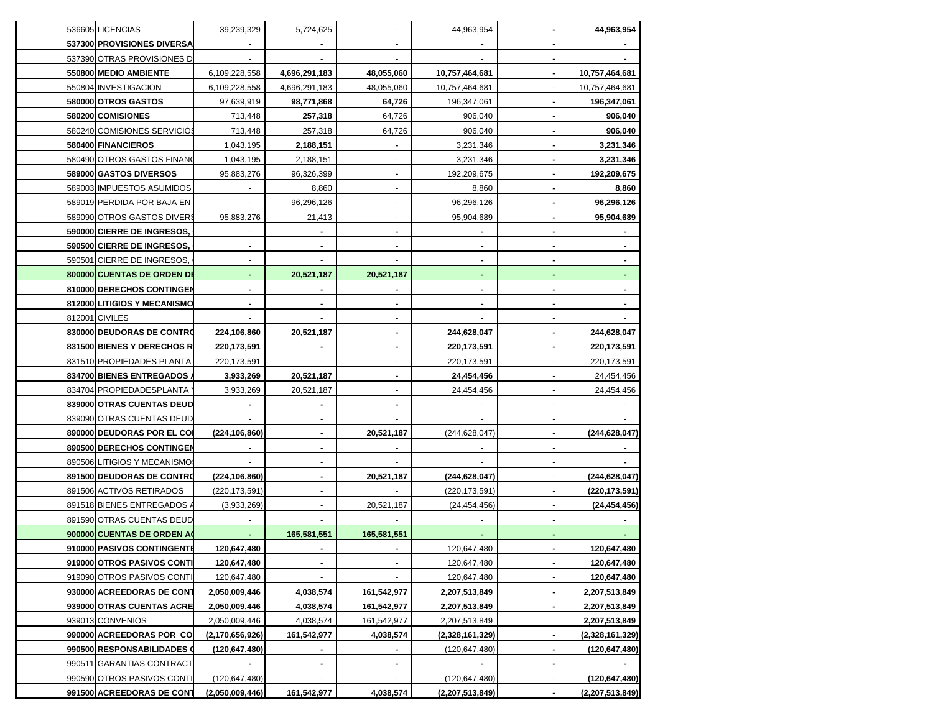| 39,239,329<br>5,724,625<br>44,963,954<br>536605 LICENCIAS<br>537300 PROVISIONES DIVERSA<br>537390 OTRAS PROVISIONES D<br>550800 MEDIO AMBIENTE<br>6,109,228,558<br>4,696,291,183<br>48,055,060<br>10,757,464,681<br>550804 INVESTIGACION<br>6,109,228,558<br>4,696,291,183<br>48,055,060<br>10,757,464,681<br>580000 OTROS GASTOS<br>64,726<br>97,639,919<br>98,771,868<br>196,347,061<br>580200 COMISIONES<br>713,448<br>257,318<br>64,726<br>906,040<br>580240 COMISIONES SERVICIOS<br>64,726<br>906,040<br>713,448<br>257,318<br>580400 FINANCIEROS<br>1,043,195<br>2,188,151<br>3,231,346<br>580490 OTROS GASTOS FINANO<br>1,043,195<br>2,188,151<br>3,231,346<br>589000 GASTOS DIVERSOS<br>95,883,276<br>96,326,399<br>192,209,675<br>589003 IMPUESTOS ASUMIDOS<br>8,860<br>8,860<br>589019 PERDIDA POR BAJA EN<br>96,296,126<br>96,296,126<br>589090 OTROS GASTOS DIVERS<br>95,883,276<br>95,904,689<br>21,413<br>590000 CIERRE DE INGRESOS,<br>590500 CIERRE DE INGRESOS,<br>590501 CIERRE DE INGRESOS,<br>800000 CUENTAS DE ORDEN DE<br>20,521,187<br>20,521,187<br>810000 DERECHOS CONTINGEN<br>$\blacksquare$<br>$\blacksquare$<br>812000 LITIGIOS Y MECANISMO<br>$\blacksquare$<br>812001 CIVILES<br>$\overline{\phantom{a}}$<br>830000 DEUDORAS DE CONTRO<br>224,106,860<br>20,521,187<br>244,628,047<br>$\blacksquare$<br>831500 BIENES Y DERECHOS R<br>220, 173, 591<br>220, 173, 591<br>$\blacksquare$<br>$\blacksquare$<br>$\blacksquare$<br>831510 PROPIEDADES PLANTA<br>220,173,591<br>220,173,591<br>$\blacksquare$<br>$\blacksquare$<br>834700 BIENES ENTREGADOS<br>3,933,269<br>20,521,187<br>24,454,456<br>$\blacksquare$<br>834704 PROPIEDADESPLANTA<br>3,933,269<br>20,521,187<br>24,454,456<br>÷.<br>839000 OTRAS CUENTAS DEUD<br>839090 OTRAS CUENTAS DEUD<br>890000 DEUDORAS POR EL COI<br>(224, 106, 860)<br>20,521,187<br>(244, 628, 047)<br>890500 DERECHOS CONTINGEN<br>890506 LITIGIOS Y MECANISMO<br>891500 DEUDORAS DE CONTRO<br>(224, 106, 860)<br>20,521,187<br>(244, 628, 047)<br>891506 ACTIVOS RETIRADOS<br>(220, 173, 591)<br>(220,173,591)<br>891518 BIENES ENTREGADOS<br>(3,933,269)<br>20,521,187<br>(24, 454, 456)<br>891590 OTRAS CUENTAS DEUD<br>900000 CUENTAS DE ORDEN AO<br>165,581,551<br>165,581,551<br>910000 PASIVOS CONTINGENTE<br>120,647,480<br>120,647,480<br>919000 OTROS PASIVOS CONTI<br>120,647,480<br>120,647,480<br>919090 OTROS PASIVOS CONTI<br>120,647,480<br>120,647,480<br>930000 ACREEDORAS DE CONT<br>2,050,009,446<br>4,038,574<br>161,542,977<br>2,207,513,849<br>$\blacksquare$<br>939000 OTRAS CUENTAS ACRE<br>2,050,009,446<br>4,038,574<br>161,542,977<br>2,207,513,849<br>$\overline{\phantom{a}}$<br>939013 CONVENIOS<br>2,050,009,446<br>4,038,574<br>161,542,977<br>2,207,513,849<br>990000 ACREEDORAS POR CO<br>161,542,977<br>4,038,574<br>(2,170,656,926)<br>(2,328,161,329)<br>$\blacksquare$<br>990500 RESPONSABILIDADES 0<br>(120, 647, 480)<br>(120, 647, 480)<br>٠<br>$\blacksquare$<br>990511 GARANTIAS CONTRACT<br>$\blacksquare$<br>$\blacksquare$<br>$\blacksquare$<br>990590 OTROS PASIVOS CONTI<br>(120, 647, 480)<br>(120, 647, 480)<br>$\blacksquare$<br>(2,050,009,446)<br>4,038,574<br>991500 ACREEDORAS DE CONT<br>(2,207,513,849)<br>$\blacksquare$ |  |             |  |                 |
|---------------------------------------------------------------------------------------------------------------------------------------------------------------------------------------------------------------------------------------------------------------------------------------------------------------------------------------------------------------------------------------------------------------------------------------------------------------------------------------------------------------------------------------------------------------------------------------------------------------------------------------------------------------------------------------------------------------------------------------------------------------------------------------------------------------------------------------------------------------------------------------------------------------------------------------------------------------------------------------------------------------------------------------------------------------------------------------------------------------------------------------------------------------------------------------------------------------------------------------------------------------------------------------------------------------------------------------------------------------------------------------------------------------------------------------------------------------------------------------------------------------------------------------------------------------------------------------------------------------------------------------------------------------------------------------------------------------------------------------------------------------------------------------------------------------------------------------------------------------------------------------------------------------------------------------------------------------------------------------------------------------------------------------------------------------------------------------------------------------------------------------------------------------------------------------------------------------------------------------------------------------------------------------------------------------------------------------------------------------------------------------------------------------------------------------------------------------------------------------------------------------------------------------------------------------------------------------------------------------------------------------------------------------------------------------------------------------------------------------------------------------------------------------------------------------------------------------------------------------------------------------------------------------------------------------------------------------------------------------------------------------------------------------------------------------------------------------------------------------------------------------------------------------------------------------------------------------------------------------------------------|--|-------------|--|-----------------|
|                                                                                                                                                                                                                                                                                                                                                                                                                                                                                                                                                                                                                                                                                                                                                                                                                                                                                                                                                                                                                                                                                                                                                                                                                                                                                                                                                                                                                                                                                                                                                                                                                                                                                                                                                                                                                                                                                                                                                                                                                                                                                                                                                                                                                                                                                                                                                                                                                                                                                                                                                                                                                                                                                                                                                                                                                                                                                                                                                                                                                                                                                                                                                                                                                                                         |  |             |  | 44,963,954      |
|                                                                                                                                                                                                                                                                                                                                                                                                                                                                                                                                                                                                                                                                                                                                                                                                                                                                                                                                                                                                                                                                                                                                                                                                                                                                                                                                                                                                                                                                                                                                                                                                                                                                                                                                                                                                                                                                                                                                                                                                                                                                                                                                                                                                                                                                                                                                                                                                                                                                                                                                                                                                                                                                                                                                                                                                                                                                                                                                                                                                                                                                                                                                                                                                                                                         |  |             |  |                 |
|                                                                                                                                                                                                                                                                                                                                                                                                                                                                                                                                                                                                                                                                                                                                                                                                                                                                                                                                                                                                                                                                                                                                                                                                                                                                                                                                                                                                                                                                                                                                                                                                                                                                                                                                                                                                                                                                                                                                                                                                                                                                                                                                                                                                                                                                                                                                                                                                                                                                                                                                                                                                                                                                                                                                                                                                                                                                                                                                                                                                                                                                                                                                                                                                                                                         |  |             |  |                 |
|                                                                                                                                                                                                                                                                                                                                                                                                                                                                                                                                                                                                                                                                                                                                                                                                                                                                                                                                                                                                                                                                                                                                                                                                                                                                                                                                                                                                                                                                                                                                                                                                                                                                                                                                                                                                                                                                                                                                                                                                                                                                                                                                                                                                                                                                                                                                                                                                                                                                                                                                                                                                                                                                                                                                                                                                                                                                                                                                                                                                                                                                                                                                                                                                                                                         |  |             |  | 10,757,464,681  |
|                                                                                                                                                                                                                                                                                                                                                                                                                                                                                                                                                                                                                                                                                                                                                                                                                                                                                                                                                                                                                                                                                                                                                                                                                                                                                                                                                                                                                                                                                                                                                                                                                                                                                                                                                                                                                                                                                                                                                                                                                                                                                                                                                                                                                                                                                                                                                                                                                                                                                                                                                                                                                                                                                                                                                                                                                                                                                                                                                                                                                                                                                                                                                                                                                                                         |  |             |  | 10,757,464,681  |
|                                                                                                                                                                                                                                                                                                                                                                                                                                                                                                                                                                                                                                                                                                                                                                                                                                                                                                                                                                                                                                                                                                                                                                                                                                                                                                                                                                                                                                                                                                                                                                                                                                                                                                                                                                                                                                                                                                                                                                                                                                                                                                                                                                                                                                                                                                                                                                                                                                                                                                                                                                                                                                                                                                                                                                                                                                                                                                                                                                                                                                                                                                                                                                                                                                                         |  |             |  | 196,347,061     |
|                                                                                                                                                                                                                                                                                                                                                                                                                                                                                                                                                                                                                                                                                                                                                                                                                                                                                                                                                                                                                                                                                                                                                                                                                                                                                                                                                                                                                                                                                                                                                                                                                                                                                                                                                                                                                                                                                                                                                                                                                                                                                                                                                                                                                                                                                                                                                                                                                                                                                                                                                                                                                                                                                                                                                                                                                                                                                                                                                                                                                                                                                                                                                                                                                                                         |  |             |  | 906,040         |
|                                                                                                                                                                                                                                                                                                                                                                                                                                                                                                                                                                                                                                                                                                                                                                                                                                                                                                                                                                                                                                                                                                                                                                                                                                                                                                                                                                                                                                                                                                                                                                                                                                                                                                                                                                                                                                                                                                                                                                                                                                                                                                                                                                                                                                                                                                                                                                                                                                                                                                                                                                                                                                                                                                                                                                                                                                                                                                                                                                                                                                                                                                                                                                                                                                                         |  |             |  | 906,040         |
|                                                                                                                                                                                                                                                                                                                                                                                                                                                                                                                                                                                                                                                                                                                                                                                                                                                                                                                                                                                                                                                                                                                                                                                                                                                                                                                                                                                                                                                                                                                                                                                                                                                                                                                                                                                                                                                                                                                                                                                                                                                                                                                                                                                                                                                                                                                                                                                                                                                                                                                                                                                                                                                                                                                                                                                                                                                                                                                                                                                                                                                                                                                                                                                                                                                         |  |             |  | 3,231,346       |
|                                                                                                                                                                                                                                                                                                                                                                                                                                                                                                                                                                                                                                                                                                                                                                                                                                                                                                                                                                                                                                                                                                                                                                                                                                                                                                                                                                                                                                                                                                                                                                                                                                                                                                                                                                                                                                                                                                                                                                                                                                                                                                                                                                                                                                                                                                                                                                                                                                                                                                                                                                                                                                                                                                                                                                                                                                                                                                                                                                                                                                                                                                                                                                                                                                                         |  |             |  | 3,231,346       |
|                                                                                                                                                                                                                                                                                                                                                                                                                                                                                                                                                                                                                                                                                                                                                                                                                                                                                                                                                                                                                                                                                                                                                                                                                                                                                                                                                                                                                                                                                                                                                                                                                                                                                                                                                                                                                                                                                                                                                                                                                                                                                                                                                                                                                                                                                                                                                                                                                                                                                                                                                                                                                                                                                                                                                                                                                                                                                                                                                                                                                                                                                                                                                                                                                                                         |  |             |  | 192,209,675     |
|                                                                                                                                                                                                                                                                                                                                                                                                                                                                                                                                                                                                                                                                                                                                                                                                                                                                                                                                                                                                                                                                                                                                                                                                                                                                                                                                                                                                                                                                                                                                                                                                                                                                                                                                                                                                                                                                                                                                                                                                                                                                                                                                                                                                                                                                                                                                                                                                                                                                                                                                                                                                                                                                                                                                                                                                                                                                                                                                                                                                                                                                                                                                                                                                                                                         |  |             |  | 8,860           |
|                                                                                                                                                                                                                                                                                                                                                                                                                                                                                                                                                                                                                                                                                                                                                                                                                                                                                                                                                                                                                                                                                                                                                                                                                                                                                                                                                                                                                                                                                                                                                                                                                                                                                                                                                                                                                                                                                                                                                                                                                                                                                                                                                                                                                                                                                                                                                                                                                                                                                                                                                                                                                                                                                                                                                                                                                                                                                                                                                                                                                                                                                                                                                                                                                                                         |  |             |  | 96,296,126      |
|                                                                                                                                                                                                                                                                                                                                                                                                                                                                                                                                                                                                                                                                                                                                                                                                                                                                                                                                                                                                                                                                                                                                                                                                                                                                                                                                                                                                                                                                                                                                                                                                                                                                                                                                                                                                                                                                                                                                                                                                                                                                                                                                                                                                                                                                                                                                                                                                                                                                                                                                                                                                                                                                                                                                                                                                                                                                                                                                                                                                                                                                                                                                                                                                                                                         |  |             |  | 95,904,689      |
|                                                                                                                                                                                                                                                                                                                                                                                                                                                                                                                                                                                                                                                                                                                                                                                                                                                                                                                                                                                                                                                                                                                                                                                                                                                                                                                                                                                                                                                                                                                                                                                                                                                                                                                                                                                                                                                                                                                                                                                                                                                                                                                                                                                                                                                                                                                                                                                                                                                                                                                                                                                                                                                                                                                                                                                                                                                                                                                                                                                                                                                                                                                                                                                                                                                         |  |             |  |                 |
|                                                                                                                                                                                                                                                                                                                                                                                                                                                                                                                                                                                                                                                                                                                                                                                                                                                                                                                                                                                                                                                                                                                                                                                                                                                                                                                                                                                                                                                                                                                                                                                                                                                                                                                                                                                                                                                                                                                                                                                                                                                                                                                                                                                                                                                                                                                                                                                                                                                                                                                                                                                                                                                                                                                                                                                                                                                                                                                                                                                                                                                                                                                                                                                                                                                         |  |             |  |                 |
|                                                                                                                                                                                                                                                                                                                                                                                                                                                                                                                                                                                                                                                                                                                                                                                                                                                                                                                                                                                                                                                                                                                                                                                                                                                                                                                                                                                                                                                                                                                                                                                                                                                                                                                                                                                                                                                                                                                                                                                                                                                                                                                                                                                                                                                                                                                                                                                                                                                                                                                                                                                                                                                                                                                                                                                                                                                                                                                                                                                                                                                                                                                                                                                                                                                         |  |             |  |                 |
|                                                                                                                                                                                                                                                                                                                                                                                                                                                                                                                                                                                                                                                                                                                                                                                                                                                                                                                                                                                                                                                                                                                                                                                                                                                                                                                                                                                                                                                                                                                                                                                                                                                                                                                                                                                                                                                                                                                                                                                                                                                                                                                                                                                                                                                                                                                                                                                                                                                                                                                                                                                                                                                                                                                                                                                                                                                                                                                                                                                                                                                                                                                                                                                                                                                         |  |             |  |                 |
|                                                                                                                                                                                                                                                                                                                                                                                                                                                                                                                                                                                                                                                                                                                                                                                                                                                                                                                                                                                                                                                                                                                                                                                                                                                                                                                                                                                                                                                                                                                                                                                                                                                                                                                                                                                                                                                                                                                                                                                                                                                                                                                                                                                                                                                                                                                                                                                                                                                                                                                                                                                                                                                                                                                                                                                                                                                                                                                                                                                                                                                                                                                                                                                                                                                         |  |             |  |                 |
|                                                                                                                                                                                                                                                                                                                                                                                                                                                                                                                                                                                                                                                                                                                                                                                                                                                                                                                                                                                                                                                                                                                                                                                                                                                                                                                                                                                                                                                                                                                                                                                                                                                                                                                                                                                                                                                                                                                                                                                                                                                                                                                                                                                                                                                                                                                                                                                                                                                                                                                                                                                                                                                                                                                                                                                                                                                                                                                                                                                                                                                                                                                                                                                                                                                         |  |             |  |                 |
|                                                                                                                                                                                                                                                                                                                                                                                                                                                                                                                                                                                                                                                                                                                                                                                                                                                                                                                                                                                                                                                                                                                                                                                                                                                                                                                                                                                                                                                                                                                                                                                                                                                                                                                                                                                                                                                                                                                                                                                                                                                                                                                                                                                                                                                                                                                                                                                                                                                                                                                                                                                                                                                                                                                                                                                                                                                                                                                                                                                                                                                                                                                                                                                                                                                         |  |             |  |                 |
|                                                                                                                                                                                                                                                                                                                                                                                                                                                                                                                                                                                                                                                                                                                                                                                                                                                                                                                                                                                                                                                                                                                                                                                                                                                                                                                                                                                                                                                                                                                                                                                                                                                                                                                                                                                                                                                                                                                                                                                                                                                                                                                                                                                                                                                                                                                                                                                                                                                                                                                                                                                                                                                                                                                                                                                                                                                                                                                                                                                                                                                                                                                                                                                                                                                         |  |             |  | 244,628,047     |
|                                                                                                                                                                                                                                                                                                                                                                                                                                                                                                                                                                                                                                                                                                                                                                                                                                                                                                                                                                                                                                                                                                                                                                                                                                                                                                                                                                                                                                                                                                                                                                                                                                                                                                                                                                                                                                                                                                                                                                                                                                                                                                                                                                                                                                                                                                                                                                                                                                                                                                                                                                                                                                                                                                                                                                                                                                                                                                                                                                                                                                                                                                                                                                                                                                                         |  |             |  | 220, 173, 591   |
|                                                                                                                                                                                                                                                                                                                                                                                                                                                                                                                                                                                                                                                                                                                                                                                                                                                                                                                                                                                                                                                                                                                                                                                                                                                                                                                                                                                                                                                                                                                                                                                                                                                                                                                                                                                                                                                                                                                                                                                                                                                                                                                                                                                                                                                                                                                                                                                                                                                                                                                                                                                                                                                                                                                                                                                                                                                                                                                                                                                                                                                                                                                                                                                                                                                         |  |             |  | 220, 173, 591   |
|                                                                                                                                                                                                                                                                                                                                                                                                                                                                                                                                                                                                                                                                                                                                                                                                                                                                                                                                                                                                                                                                                                                                                                                                                                                                                                                                                                                                                                                                                                                                                                                                                                                                                                                                                                                                                                                                                                                                                                                                                                                                                                                                                                                                                                                                                                                                                                                                                                                                                                                                                                                                                                                                                                                                                                                                                                                                                                                                                                                                                                                                                                                                                                                                                                                         |  |             |  | 24,454,456      |
|                                                                                                                                                                                                                                                                                                                                                                                                                                                                                                                                                                                                                                                                                                                                                                                                                                                                                                                                                                                                                                                                                                                                                                                                                                                                                                                                                                                                                                                                                                                                                                                                                                                                                                                                                                                                                                                                                                                                                                                                                                                                                                                                                                                                                                                                                                                                                                                                                                                                                                                                                                                                                                                                                                                                                                                                                                                                                                                                                                                                                                                                                                                                                                                                                                                         |  |             |  | 24,454,456      |
|                                                                                                                                                                                                                                                                                                                                                                                                                                                                                                                                                                                                                                                                                                                                                                                                                                                                                                                                                                                                                                                                                                                                                                                                                                                                                                                                                                                                                                                                                                                                                                                                                                                                                                                                                                                                                                                                                                                                                                                                                                                                                                                                                                                                                                                                                                                                                                                                                                                                                                                                                                                                                                                                                                                                                                                                                                                                                                                                                                                                                                                                                                                                                                                                                                                         |  |             |  |                 |
|                                                                                                                                                                                                                                                                                                                                                                                                                                                                                                                                                                                                                                                                                                                                                                                                                                                                                                                                                                                                                                                                                                                                                                                                                                                                                                                                                                                                                                                                                                                                                                                                                                                                                                                                                                                                                                                                                                                                                                                                                                                                                                                                                                                                                                                                                                                                                                                                                                                                                                                                                                                                                                                                                                                                                                                                                                                                                                                                                                                                                                                                                                                                                                                                                                                         |  |             |  |                 |
|                                                                                                                                                                                                                                                                                                                                                                                                                                                                                                                                                                                                                                                                                                                                                                                                                                                                                                                                                                                                                                                                                                                                                                                                                                                                                                                                                                                                                                                                                                                                                                                                                                                                                                                                                                                                                                                                                                                                                                                                                                                                                                                                                                                                                                                                                                                                                                                                                                                                                                                                                                                                                                                                                                                                                                                                                                                                                                                                                                                                                                                                                                                                                                                                                                                         |  |             |  | (244, 628, 047) |
|                                                                                                                                                                                                                                                                                                                                                                                                                                                                                                                                                                                                                                                                                                                                                                                                                                                                                                                                                                                                                                                                                                                                                                                                                                                                                                                                                                                                                                                                                                                                                                                                                                                                                                                                                                                                                                                                                                                                                                                                                                                                                                                                                                                                                                                                                                                                                                                                                                                                                                                                                                                                                                                                                                                                                                                                                                                                                                                                                                                                                                                                                                                                                                                                                                                         |  |             |  |                 |
|                                                                                                                                                                                                                                                                                                                                                                                                                                                                                                                                                                                                                                                                                                                                                                                                                                                                                                                                                                                                                                                                                                                                                                                                                                                                                                                                                                                                                                                                                                                                                                                                                                                                                                                                                                                                                                                                                                                                                                                                                                                                                                                                                                                                                                                                                                                                                                                                                                                                                                                                                                                                                                                                                                                                                                                                                                                                                                                                                                                                                                                                                                                                                                                                                                                         |  |             |  |                 |
|                                                                                                                                                                                                                                                                                                                                                                                                                                                                                                                                                                                                                                                                                                                                                                                                                                                                                                                                                                                                                                                                                                                                                                                                                                                                                                                                                                                                                                                                                                                                                                                                                                                                                                                                                                                                                                                                                                                                                                                                                                                                                                                                                                                                                                                                                                                                                                                                                                                                                                                                                                                                                                                                                                                                                                                                                                                                                                                                                                                                                                                                                                                                                                                                                                                         |  |             |  | (244, 628, 047) |
|                                                                                                                                                                                                                                                                                                                                                                                                                                                                                                                                                                                                                                                                                                                                                                                                                                                                                                                                                                                                                                                                                                                                                                                                                                                                                                                                                                                                                                                                                                                                                                                                                                                                                                                                                                                                                                                                                                                                                                                                                                                                                                                                                                                                                                                                                                                                                                                                                                                                                                                                                                                                                                                                                                                                                                                                                                                                                                                                                                                                                                                                                                                                                                                                                                                         |  |             |  | (220,173,591)   |
|                                                                                                                                                                                                                                                                                                                                                                                                                                                                                                                                                                                                                                                                                                                                                                                                                                                                                                                                                                                                                                                                                                                                                                                                                                                                                                                                                                                                                                                                                                                                                                                                                                                                                                                                                                                                                                                                                                                                                                                                                                                                                                                                                                                                                                                                                                                                                                                                                                                                                                                                                                                                                                                                                                                                                                                                                                                                                                                                                                                                                                                                                                                                                                                                                                                         |  |             |  | (24, 454, 456)  |
|                                                                                                                                                                                                                                                                                                                                                                                                                                                                                                                                                                                                                                                                                                                                                                                                                                                                                                                                                                                                                                                                                                                                                                                                                                                                                                                                                                                                                                                                                                                                                                                                                                                                                                                                                                                                                                                                                                                                                                                                                                                                                                                                                                                                                                                                                                                                                                                                                                                                                                                                                                                                                                                                                                                                                                                                                                                                                                                                                                                                                                                                                                                                                                                                                                                         |  |             |  |                 |
|                                                                                                                                                                                                                                                                                                                                                                                                                                                                                                                                                                                                                                                                                                                                                                                                                                                                                                                                                                                                                                                                                                                                                                                                                                                                                                                                                                                                                                                                                                                                                                                                                                                                                                                                                                                                                                                                                                                                                                                                                                                                                                                                                                                                                                                                                                                                                                                                                                                                                                                                                                                                                                                                                                                                                                                                                                                                                                                                                                                                                                                                                                                                                                                                                                                         |  |             |  |                 |
|                                                                                                                                                                                                                                                                                                                                                                                                                                                                                                                                                                                                                                                                                                                                                                                                                                                                                                                                                                                                                                                                                                                                                                                                                                                                                                                                                                                                                                                                                                                                                                                                                                                                                                                                                                                                                                                                                                                                                                                                                                                                                                                                                                                                                                                                                                                                                                                                                                                                                                                                                                                                                                                                                                                                                                                                                                                                                                                                                                                                                                                                                                                                                                                                                                                         |  |             |  | 120,647,480     |
|                                                                                                                                                                                                                                                                                                                                                                                                                                                                                                                                                                                                                                                                                                                                                                                                                                                                                                                                                                                                                                                                                                                                                                                                                                                                                                                                                                                                                                                                                                                                                                                                                                                                                                                                                                                                                                                                                                                                                                                                                                                                                                                                                                                                                                                                                                                                                                                                                                                                                                                                                                                                                                                                                                                                                                                                                                                                                                                                                                                                                                                                                                                                                                                                                                                         |  |             |  | 120,647,480     |
|                                                                                                                                                                                                                                                                                                                                                                                                                                                                                                                                                                                                                                                                                                                                                                                                                                                                                                                                                                                                                                                                                                                                                                                                                                                                                                                                                                                                                                                                                                                                                                                                                                                                                                                                                                                                                                                                                                                                                                                                                                                                                                                                                                                                                                                                                                                                                                                                                                                                                                                                                                                                                                                                                                                                                                                                                                                                                                                                                                                                                                                                                                                                                                                                                                                         |  |             |  | 120,647,480     |
|                                                                                                                                                                                                                                                                                                                                                                                                                                                                                                                                                                                                                                                                                                                                                                                                                                                                                                                                                                                                                                                                                                                                                                                                                                                                                                                                                                                                                                                                                                                                                                                                                                                                                                                                                                                                                                                                                                                                                                                                                                                                                                                                                                                                                                                                                                                                                                                                                                                                                                                                                                                                                                                                                                                                                                                                                                                                                                                                                                                                                                                                                                                                                                                                                                                         |  |             |  | 2,207,513,849   |
|                                                                                                                                                                                                                                                                                                                                                                                                                                                                                                                                                                                                                                                                                                                                                                                                                                                                                                                                                                                                                                                                                                                                                                                                                                                                                                                                                                                                                                                                                                                                                                                                                                                                                                                                                                                                                                                                                                                                                                                                                                                                                                                                                                                                                                                                                                                                                                                                                                                                                                                                                                                                                                                                                                                                                                                                                                                                                                                                                                                                                                                                                                                                                                                                                                                         |  |             |  | 2,207,513,849   |
|                                                                                                                                                                                                                                                                                                                                                                                                                                                                                                                                                                                                                                                                                                                                                                                                                                                                                                                                                                                                                                                                                                                                                                                                                                                                                                                                                                                                                                                                                                                                                                                                                                                                                                                                                                                                                                                                                                                                                                                                                                                                                                                                                                                                                                                                                                                                                                                                                                                                                                                                                                                                                                                                                                                                                                                                                                                                                                                                                                                                                                                                                                                                                                                                                                                         |  |             |  | 2,207,513,849   |
|                                                                                                                                                                                                                                                                                                                                                                                                                                                                                                                                                                                                                                                                                                                                                                                                                                                                                                                                                                                                                                                                                                                                                                                                                                                                                                                                                                                                                                                                                                                                                                                                                                                                                                                                                                                                                                                                                                                                                                                                                                                                                                                                                                                                                                                                                                                                                                                                                                                                                                                                                                                                                                                                                                                                                                                                                                                                                                                                                                                                                                                                                                                                                                                                                                                         |  |             |  | (2,328,161,329) |
|                                                                                                                                                                                                                                                                                                                                                                                                                                                                                                                                                                                                                                                                                                                                                                                                                                                                                                                                                                                                                                                                                                                                                                                                                                                                                                                                                                                                                                                                                                                                                                                                                                                                                                                                                                                                                                                                                                                                                                                                                                                                                                                                                                                                                                                                                                                                                                                                                                                                                                                                                                                                                                                                                                                                                                                                                                                                                                                                                                                                                                                                                                                                                                                                                                                         |  |             |  | (120,647,480)   |
|                                                                                                                                                                                                                                                                                                                                                                                                                                                                                                                                                                                                                                                                                                                                                                                                                                                                                                                                                                                                                                                                                                                                                                                                                                                                                                                                                                                                                                                                                                                                                                                                                                                                                                                                                                                                                                                                                                                                                                                                                                                                                                                                                                                                                                                                                                                                                                                                                                                                                                                                                                                                                                                                                                                                                                                                                                                                                                                                                                                                                                                                                                                                                                                                                                                         |  |             |  |                 |
|                                                                                                                                                                                                                                                                                                                                                                                                                                                                                                                                                                                                                                                                                                                                                                                                                                                                                                                                                                                                                                                                                                                                                                                                                                                                                                                                                                                                                                                                                                                                                                                                                                                                                                                                                                                                                                                                                                                                                                                                                                                                                                                                                                                                                                                                                                                                                                                                                                                                                                                                                                                                                                                                                                                                                                                                                                                                                                                                                                                                                                                                                                                                                                                                                                                         |  |             |  | (120, 647, 480) |
|                                                                                                                                                                                                                                                                                                                                                                                                                                                                                                                                                                                                                                                                                                                                                                                                                                                                                                                                                                                                                                                                                                                                                                                                                                                                                                                                                                                                                                                                                                                                                                                                                                                                                                                                                                                                                                                                                                                                                                                                                                                                                                                                                                                                                                                                                                                                                                                                                                                                                                                                                                                                                                                                                                                                                                                                                                                                                                                                                                                                                                                                                                                                                                                                                                                         |  | 161,542,977 |  | (2,207,513,849) |